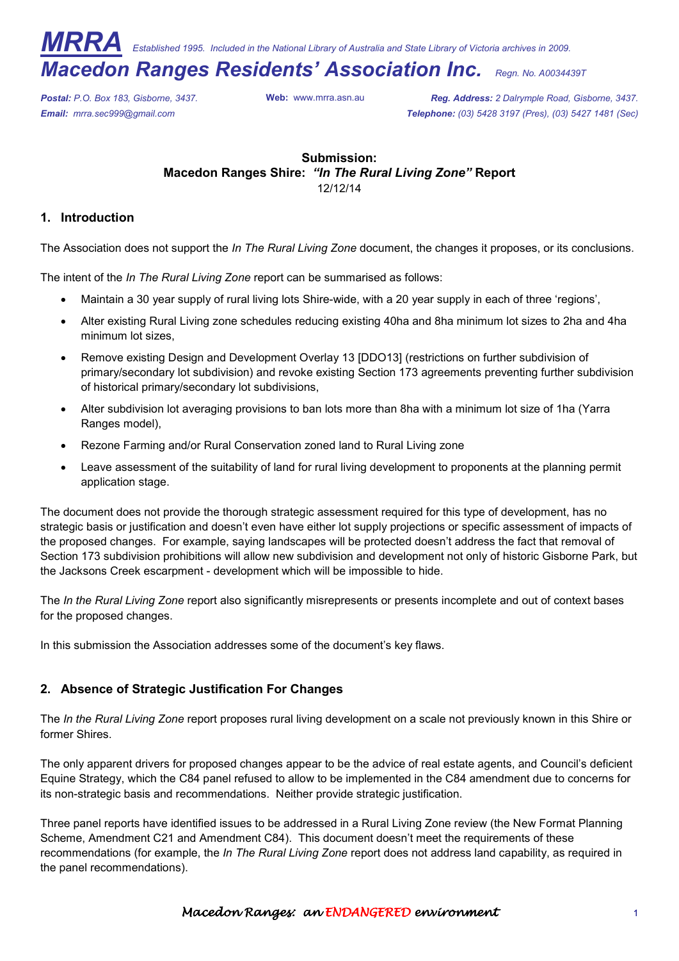*MRRA Established 1995. Included in the National Library of Australia and State Library of Victoria archives in 2009.* 

# *Macedon Ranges Residents' Association Inc. Regn. No. A0034439T*

*Postal: P.O. Box 183, Gisborne, 3437.* **Web:** www.mrra.asn.au *Reg. Address: 2 Dalrymple Road, Gisborne, 3437. Email: mrra.sec999@gmail.com Telephone: (03) 5428 3197 (Pres), (03) 5427 1481 (Sec)*

# **Submission: Macedon Ranges Shire:** *"In The Rural Living Zone"* **Report**  12/12/14

## **1. Introduction**

The Association does not support the *In The Rural Living Zone* document, the changes it proposes, or its conclusions.

The intent of the *In The Rural Living Zone* report can be summarised as follows:

- Maintain a 30 year supply of rural living lots Shire-wide, with a 20 year supply in each of three 'regions',
- Alter existing Rural Living zone schedules reducing existing 40ha and 8ha minimum lot sizes to 2ha and 4ha minimum lot sizes,
- Remove existing Design and Development Overlay 13 [DDO13] (restrictions on further subdivision of primary/secondary lot subdivision) and revoke existing Section 173 agreements preventing further subdivision of historical primary/secondary lot subdivisions,
- Alter subdivision lot averaging provisions to ban lots more than 8ha with a minimum lot size of 1ha (Yarra Ranges model),
- Rezone Farming and/or Rural Conservation zoned land to Rural Living zone
- Leave assessment of the suitability of land for rural living development to proponents at the planning permit application stage.

The document does not provide the thorough strategic assessment required for this type of development, has no strategic basis or justification and doesn't even have either lot supply projections or specific assessment of impacts of the proposed changes. For example, saying landscapes will be protected doesn't address the fact that removal of Section 173 subdivision prohibitions will allow new subdivision and development not only of historic Gisborne Park, but the Jacksons Creek escarpment - development which will be impossible to hide.

The *In the Rural Living Zone* report also significantly misrepresents or presents incomplete and out of context bases for the proposed changes.

In this submission the Association addresses some of the document's key flaws.

# **2. Absence of Strategic Justification For Changes**

The *In the Rural Living Zone* report proposes rural living development on a scale not previously known in this Shire or former Shires.

The only apparent drivers for proposed changes appear to be the advice of real estate agents, and Council's deficient Equine Strategy, which the C84 panel refused to allow to be implemented in the C84 amendment due to concerns for its non-strategic basis and recommendations. Neither provide strategic justification.

Three panel reports have identified issues to be addressed in a Rural Living Zone review (the New Format Planning Scheme, Amendment C21 and Amendment C84). This document doesn't meet the requirements of these recommendations (for example, the *In The Rural Living Zone* report does not address land capability, as required in the panel recommendations).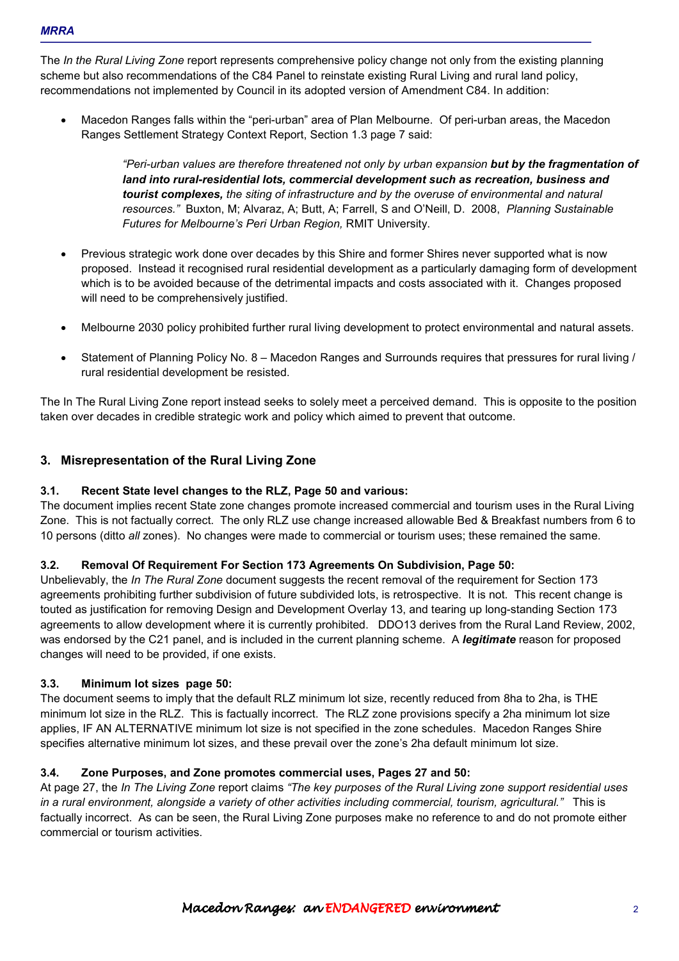The *In the Rural Living Zone* report represents comprehensive policy change not only from the existing planning scheme but also recommendations of the C84 Panel to reinstate existing Rural Living and rural land policy, recommendations not implemented by Council in its adopted version of Amendment C84. In addition:

• Macedon Ranges falls within the "peri-urban" area of Plan Melbourne. Of peri-urban areas, the Macedon Ranges Settlement Strategy Context Report, Section 1.3 page 7 said:

> *"Peri-urban values are therefore threatened not only by urban expansion but by the fragmentation of land into rural-residential lots, commercial development such as recreation, business and tourist complexes, the siting of infrastructure and by the overuse of environmental and natural resources."* Buxton, M; Alvaraz, A; Butt, A; Farrell, S and O'Neill, D. 2008, *Planning Sustainable Futures for Melbourne's Peri Urban Region,* RMIT University.

- Previous strategic work done over decades by this Shire and former Shires never supported what is now proposed. Instead it recognised rural residential development as a particularly damaging form of development which is to be avoided because of the detrimental impacts and costs associated with it. Changes proposed will need to be comprehensively justified.
- Melbourne 2030 policy prohibited further rural living development to protect environmental and natural assets.
- Statement of Planning Policy No. 8 Macedon Ranges and Surrounds requires that pressures for rural living / rural residential development be resisted.

The In The Rural Living Zone report instead seeks to solely meet a perceived demand. This is opposite to the position taken over decades in credible strategic work and policy which aimed to prevent that outcome.

# **3. Misrepresentation of the Rural Living Zone**

## **3.1. Recent State level changes to the RLZ, Page 50 and various:**

The document implies recent State zone changes promote increased commercial and tourism uses in the Rural Living Zone. This is not factually correct. The only RLZ use change increased allowable Bed & Breakfast numbers from 6 to 10 persons (ditto *all* zones). No changes were made to commercial or tourism uses; these remained the same.

## **3.2. Removal Of Requirement For Section 173 Agreements On Subdivision, Page 50:**

Unbelievably, the *In The Rural Zone* document suggests the recent removal of the requirement for Section 173 agreements prohibiting further subdivision of future subdivided lots, is retrospective. It is not. This recent change is touted as justification for removing Design and Development Overlay 13, and tearing up long-standing Section 173 agreements to allow development where it is currently prohibited. DDO13 derives from the Rural Land Review, 2002, was endorsed by the C21 panel, and is included in the current planning scheme. A *legitimate* reason for proposed changes will need to be provided, if one exists.

## **3.3. Minimum lot sizes page 50:**

The document seems to imply that the default RLZ minimum lot size, recently reduced from 8ha to 2ha, is THE minimum lot size in the RLZ. This is factually incorrect. The RLZ zone provisions specify a 2ha minimum lot size applies, IF AN ALTERNATIVE minimum lot size is not specified in the zone schedules. Macedon Ranges Shire specifies alternative minimum lot sizes, and these prevail over the zone's 2ha default minimum lot size.

## **3.4. Zone Purposes, and Zone promotes commercial uses, Pages 27 and 50:**

At page 27, the *In The Living Zone* report claims *"The key purposes of the Rural Living zone support residential uses in a rural environment, alongside a variety of other activities including commercial, tourism, agricultural."* This is factually incorrect. As can be seen, the Rural Living Zone purposes make no reference to and do not promote either commercial or tourism activities.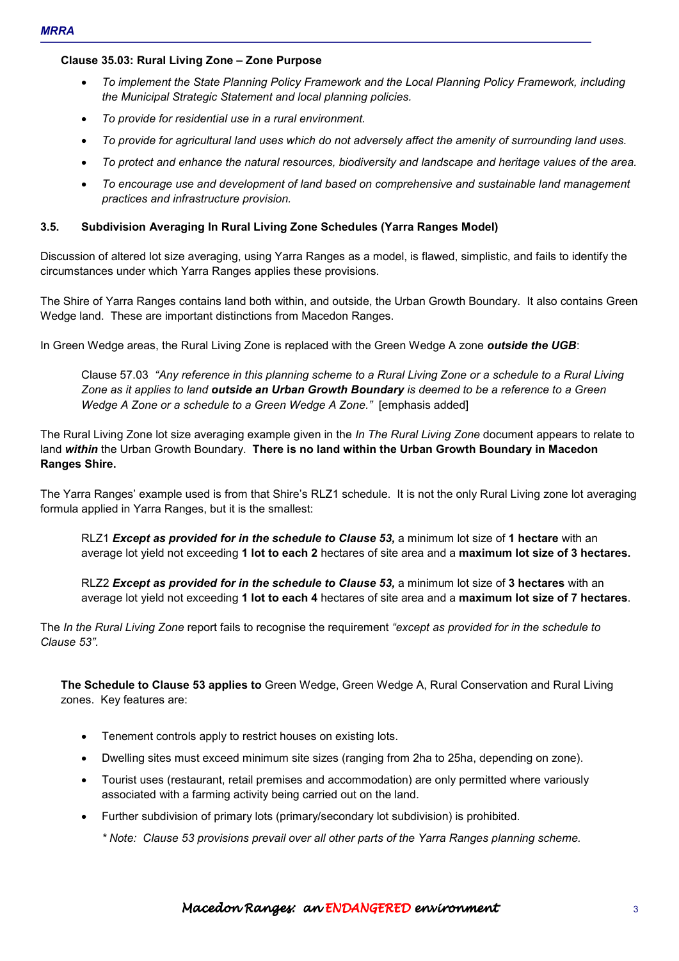## **Clause 35.03: Rural Living Zone – Zone Purpose**

- *To implement the State Planning Policy Framework and the Local Planning Policy Framework, including the Municipal Strategic Statement and local planning policies.*
- *To provide for residential use in a rural environment.*
- *To provide for agricultural land uses which do not adversely affect the amenity of surrounding land uses.*
- *To protect and enhance the natural resources, biodiversity and landscape and heritage values of the area.*
- *To encourage use and development of land based on comprehensive and sustainable land management practices and infrastructure provision.*

## **3.5. Subdivision Averaging In Rural Living Zone Schedules (Yarra Ranges Model)**

Discussion of altered lot size averaging, using Yarra Ranges as a model, is flawed, simplistic, and fails to identify the circumstances under which Yarra Ranges applies these provisions.

The Shire of Yarra Ranges contains land both within, and outside, the Urban Growth Boundary. It also contains Green Wedge land. These are important distinctions from Macedon Ranges.

In Green Wedge areas, the Rural Living Zone is replaced with the Green Wedge A zone *outside the UGB*:

Clause 57.03 *"Any reference in this planning scheme to a Rural Living Zone or a schedule to a Rural Living Zone as it applies to land outside an Urban Growth Boundary is deemed to be a reference to a Green Wedge A Zone or a schedule to a Green Wedge A Zone."* [emphasis added]

The Rural Living Zone lot size averaging example given in the *In The Rural Living Zone* document appears to relate to land *within* the Urban Growth Boundary. **There is no land within the Urban Growth Boundary in Macedon Ranges Shire.** 

The Yarra Ranges' example used is from that Shire's RLZ1 schedule. It is not the only Rural Living zone lot averaging formula applied in Yarra Ranges, but it is the smallest:

RLZ1 *Except as provided for in the schedule to Clause 53,* a minimum lot size of **1 hectare** with an average lot yield not exceeding **1 lot to each 2** hectares of site area and a **maximum lot size of 3 hectares.** 

RLZ2 *Except as provided for in the schedule to Clause 53,* a minimum lot size of **3 hectares** with an average lot yield not exceeding **1 lot to each 4** hectares of site area and a **maximum lot size of 7 hectares**.

The *In the Rural Living Zone* report fails to recognise the requirement *"except as provided for in the schedule to Clause 53".* 

**The Schedule to Clause 53 applies to** Green Wedge, Green Wedge A, Rural Conservation and Rural Living zones. Key features are:

- Tenement controls apply to restrict houses on existing lots.
- Dwelling sites must exceed minimum site sizes (ranging from 2ha to 25ha, depending on zone).
- Tourist uses (restaurant, retail premises and accommodation) are only permitted where variously associated with a farming activity being carried out on the land.
- Further subdivision of primary lots (primary/secondary lot subdivision) is prohibited.

*\* Note: Clause 53 provisions prevail over all other parts of the Yarra Ranges planning scheme.*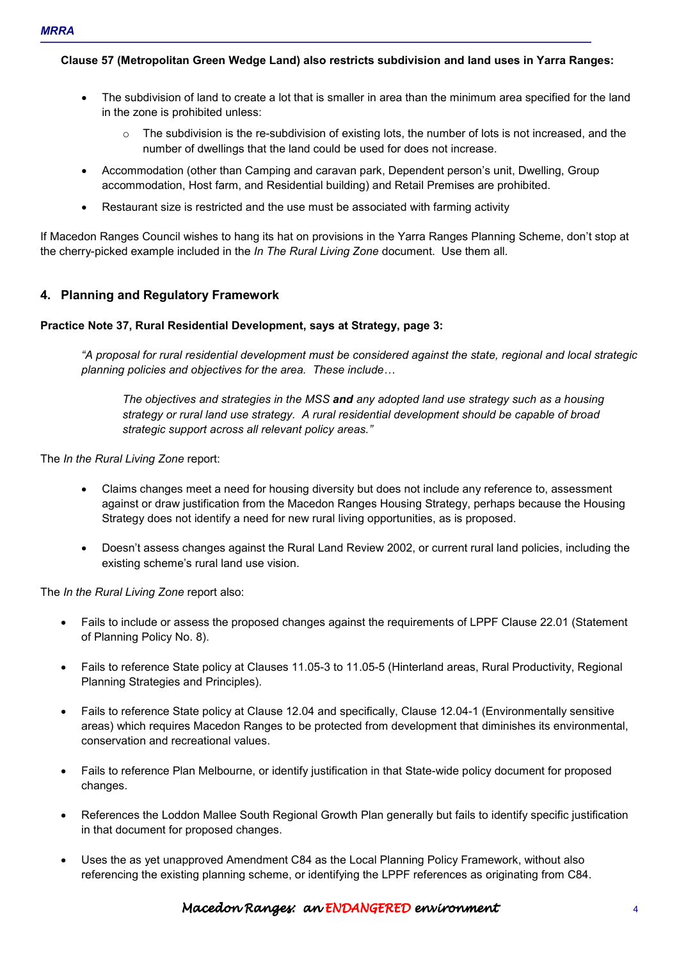**Clause 57 (Metropolitan Green Wedge Land) also restricts subdivision and land uses in Yarra Ranges:** 

- The subdivision of land to create a lot that is smaller in area than the minimum area specified for the land in the zone is prohibited unless:
	- $\circ$  The subdivision is the re-subdivision of existing lots, the number of lots is not increased, and the number of dwellings that the land could be used for does not increase.
- Accommodation (other than Camping and caravan park, Dependent person's unit, Dwelling, Group accommodation, Host farm, and Residential building) and Retail Premises are prohibited.
- Restaurant size is restricted and the use must be associated with farming activity

If Macedon Ranges Council wishes to hang its hat on provisions in the Yarra Ranges Planning Scheme, don't stop at the cherry-picked example included in the *In The Rural Living Zone* document. Use them all.

# **4. Planning and Regulatory Framework**

## **Practice Note 37, Rural Residential Development, says at Strategy, page 3:**

*"A proposal for rural residential development must be considered against the state, regional and local strategic planning policies and objectives for the area. These include...* 

*The objectives and strategies in the MSS and any adopted land use strategy such as a housing strategy or rural land use strategy. A rural residential development should be capable of broad strategic support across all relevant policy areas."* 

The *In the Rural Living Zone* report:

- Claims changes meet a need for housing diversity but does not include any reference to, assessment against or draw justification from the Macedon Ranges Housing Strategy, perhaps because the Housing Strategy does not identify a need for new rural living opportunities, as is proposed.
- Doesn't assess changes against the Rural Land Review 2002, or current rural land policies, including the existing scheme's rural land use vision.

The *In the Rural Living Zone* report also:

- Fails to include or assess the proposed changes against the requirements of LPPF Clause 22.01 (Statement of Planning Policy No. 8).
- Fails to reference State policy at Clauses 11.05-3 to 11.05-5 (Hinterland areas, Rural Productivity, Regional Planning Strategies and Principles).
- Fails to reference State policy at Clause 12.04 and specifically, Clause 12.04-1 (Environmentally sensitive areas) which requires Macedon Ranges to be protected from development that diminishes its environmental, conservation and recreational values.
- Fails to reference Plan Melbourne, or identify justification in that State-wide policy document for proposed changes.
- References the Loddon Mallee South Regional Growth Plan generally but fails to identify specific justification in that document for proposed changes.
- Uses the as yet unapproved Amendment C84 as the Local Planning Policy Framework, without also referencing the existing planning scheme, or identifying the LPPF references as originating from C84.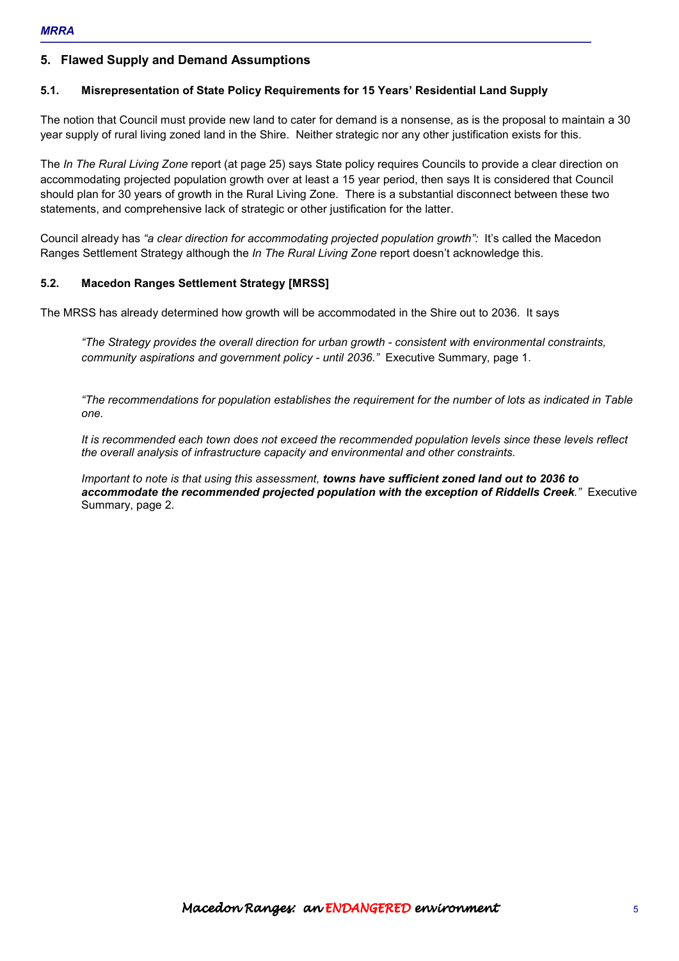# **5. Flawed Supply and Demand Assumptions**

## **5.1. Misrepresentation of State Policy Requirements for 15 Years' Residential Land Supply**

The notion that Council must provide new land to cater for demand is a nonsense, as is the proposal to maintain a 30 year supply of rural living zoned land in the Shire. Neither strategic nor any other justification exists for this.

The *In The Rural Living Zone* report (at page 25) says State policy requires Councils to provide a clear direction on accommodating projected population growth over at least a 15 year period, then says It is considered that Council should plan for 30 years of growth in the Rural Living Zone. There is a substantial disconnect between these two statements, and comprehensive lack of strategic or other justification for the latter.

Council already has *"a clear direction for accommodating projected population growth":* It's called the Macedon Ranges Settlement Strategy although the *In The Rural Living Zone* report doesn't acknowledge this.

## **5.2. Macedon Ranges Settlement Strategy [MRSS]**

The MRSS has already determined how growth will be accommodated in the Shire out to 2036. It says

*"The Strategy provides the overall direction for urban growth - consistent with environmental constraints, community aspirations and government policy - until 2036."* Executive Summary, page 1.

*"The recommendations for population establishes the requirement for the number of lots as indicated in Table one.* 

*It is recommended each town does not exceed the recommended population levels since these levels reflect the overall analysis of infrastructure capacity and environmental and other constraints.* 

*Important to note is that using this assessment, towns have sufficient zoned land out to 2036 to accommodate the recommended projected population with the exception of Riddells Creek."* Executive Summary, page 2.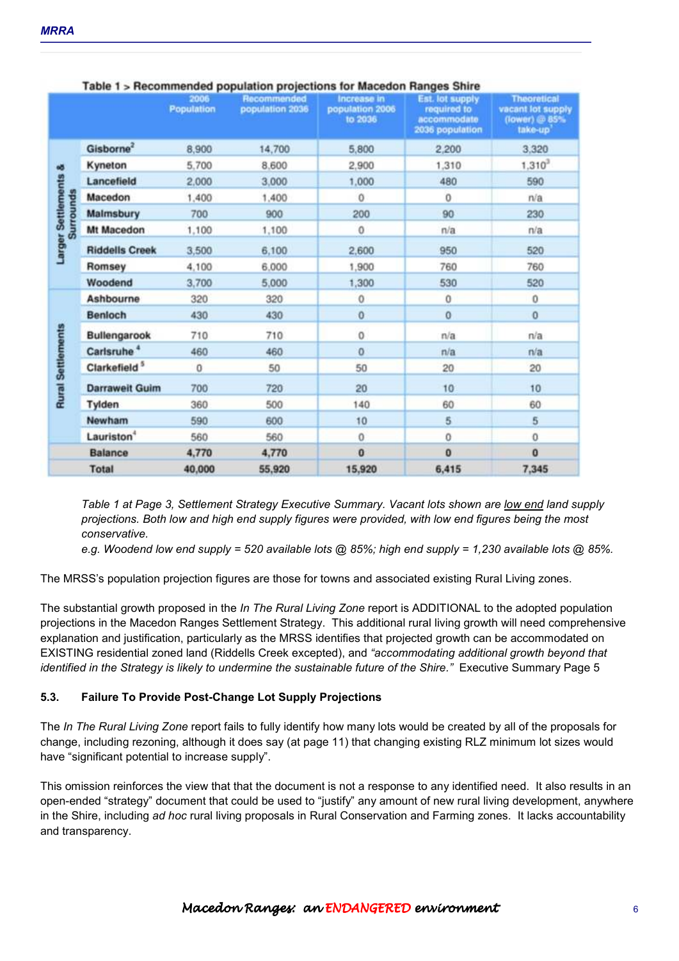|                                          |                          | 2006<br><b>Population</b> | and the first state of the contract of the contract of the contract of the contract of the contract of the contract of the contract of the contract of the contract of the contract of the contract of the contract of the con<br>Recommended<br>population 2036 | Increase in<br>population 2006<br>to 2036 | $\cdots$<br>Est. lot supply<br>required to<br>accommodate<br>2036 population | <b>Theoretical</b><br>vacant lot supply<br>(lower) @ 85%<br>take-up |
|------------------------------------------|--------------------------|---------------------------|------------------------------------------------------------------------------------------------------------------------------------------------------------------------------------------------------------------------------------------------------------------|-------------------------------------------|------------------------------------------------------------------------------|---------------------------------------------------------------------|
| að.<br>Settlements<br>tes<br>ā<br>Larger | Gisborne <sup>2</sup>    | 8,900                     | 14,700                                                                                                                                                                                                                                                           | 5,800                                     | 2,200                                                                        | 3,320                                                               |
|                                          | Kyneton                  | 5,700                     | 8.600                                                                                                                                                                                                                                                            | 2,900                                     | 1,310                                                                        | $1,310^{3}$                                                         |
|                                          | Lancefield               | 2,000                     | 3,000                                                                                                                                                                                                                                                            | 1,000                                     | 480                                                                          | 590                                                                 |
|                                          | Macedon                  | 1,400                     | 1,400                                                                                                                                                                                                                                                            | 0                                         | $\mathbf{0}$                                                                 | n/a                                                                 |
|                                          | Malmsbury                | 700                       | 900                                                                                                                                                                                                                                                              | 200                                       | 90                                                                           | 230                                                                 |
|                                          | Mt Macedon               | 1,100                     | 1,100                                                                                                                                                                                                                                                            | 0                                         | n/a                                                                          | n/a                                                                 |
|                                          | <b>Riddells Creek</b>    | 3,500                     | 6,100                                                                                                                                                                                                                                                            | 2,600                                     | 950                                                                          | 520                                                                 |
|                                          | Romsey                   | 4,100                     | 6,000                                                                                                                                                                                                                                                            | 1,900                                     | 760                                                                          | 760                                                                 |
|                                          | Woodend                  | 3,700                     | 5,000                                                                                                                                                                                                                                                            | 1,300                                     | 530                                                                          | 520                                                                 |
| <b>Rural Settlements</b>                 | <b>Ashbourne</b>         | 320                       | 320                                                                                                                                                                                                                                                              | 0                                         | $\Omega$                                                                     | $\circ$                                                             |
|                                          | <b>Benloch</b>           | 430                       | 430                                                                                                                                                                                                                                                              | 0                                         | $\bf{0}$                                                                     | $\circ$                                                             |
|                                          | Bullengarook             | 710                       | 710                                                                                                                                                                                                                                                              | 0                                         | n/a                                                                          | n/a                                                                 |
|                                          | Carlsruhe <sup>4</sup>   | 460                       | 460                                                                                                                                                                                                                                                              | $\overline{0}$                            | n/a                                                                          | n/a                                                                 |
|                                          | Clarkefield <sup>5</sup> | $\Omega$                  | 50                                                                                                                                                                                                                                                               | 50                                        | 20                                                                           | 20                                                                  |
|                                          | <b>Darraweit Guim</b>    | 700                       | 720                                                                                                                                                                                                                                                              | 20                                        | 10                                                                           | 10                                                                  |
|                                          | Tylden                   | 360                       | 500                                                                                                                                                                                                                                                              | 140                                       | 60                                                                           | 60                                                                  |
|                                          | Newham                   | 590                       | 600                                                                                                                                                                                                                                                              | 10                                        | 5                                                                            | 5                                                                   |
|                                          | Lauriston <sup>4</sup>   | 560                       | 560                                                                                                                                                                                                                                                              | $\mathbf{0}$                              | $\bf{0}$                                                                     | 0                                                                   |
|                                          | <b>Balance</b>           | 4,770                     | 4,770                                                                                                                                                                                                                                                            | 0                                         | $\mathbf{0}$                                                                 | $\bf{0}$                                                            |
|                                          | <b>Total</b>             | 40,000                    | 55,920                                                                                                                                                                                                                                                           | 15,920                                    | 6,415                                                                        | 7,345                                                               |

#### Table 1 > Recommended population projections for Macedon Ranges Shire

*Table 1 at Page 3, Settlement Strategy Executive Summary. Vacant lots shown are low end land supply projections. Both low and high end supply figures were provided, with low end figures being the most conservative.* 

*e.g. Woodend low end supply = 520 available lots @ 85%; high end supply = 1,230 available lots @ 85%.* 

The MRSS's population projection figures are those for towns and associated existing Rural Living zones.

The substantial growth proposed in the *In The Rural Living Zone* report is ADDITIONAL to the adopted population projections in the Macedon Ranges Settlement Strategy. This additional rural living growth will need comprehensive explanation and justification, particularly as the MRSS identifies that projected growth can be accommodated on EXISTING residential zoned land (Riddells Creek excepted), and *"accommodating additional growth beyond that identified in the Strategy is likely to undermine the sustainable future of the Shire."* Executive Summary Page 5

## **5.3. Failure To Provide Post-Change Lot Supply Projections**

The *In The Rural Living Zone* report fails to fully identify how many lots would be created by all of the proposals for change, including rezoning, although it does say (at page 11) that changing existing RLZ minimum lot sizes would have "significant potential to increase supply".

This omission reinforces the view that that the document is not a response to any identified need. It also results in an open-ended "strategy" document that could be used to "justify" any amount of new rural living development, anywhere in the Shire, including *ad hoc* rural living proposals in Rural Conservation and Farming zones. It lacks accountability and transparency.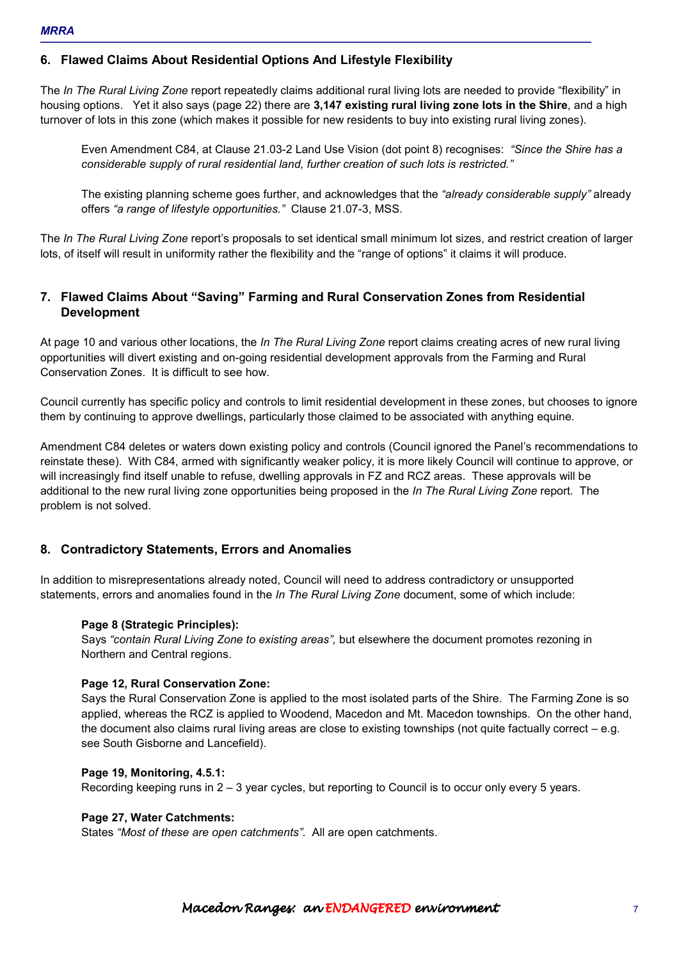# **6. Flawed Claims About Residential Options And Lifestyle Flexibility**

The *In The Rural Living Zone* report repeatedly claims additional rural living lots are needed to provide "flexibility" in housing options. Yet it also says (page 22) there are **3,147 existing rural living zone lots in the Shire**, and a high turnover of lots in this zone (which makes it possible for new residents to buy into existing rural living zones).

Even Amendment C84, at Clause 21.03-2 Land Use Vision (dot point 8) recognises: *"Since the Shire has a considerable supply of rural residential land, further creation of such lots is restricted."* 

The existing planning scheme goes further, and acknowledges that the *"already considerable supply"* already offers *"a range of lifestyle opportunities."* Clause 21.07-3, MSS.

The *In The Rural Living Zone* report's proposals to set identical small minimum lot sizes, and restrict creation of larger lots, of itself will result in uniformity rather the flexibility and the "range of options" it claims it will produce.

# **7. Flawed Claims About "Saving" Farming and Rural Conservation Zones from Residential Development**

At page 10 and various other locations, the *In The Rural Living Zone* report claims creating acres of new rural living opportunities will divert existing and on-going residential development approvals from the Farming and Rural Conservation Zones. It is difficult to see how.

Council currently has specific policy and controls to limit residential development in these zones, but chooses to ignore them by continuing to approve dwellings, particularly those claimed to be associated with anything equine.

Amendment C84 deletes or waters down existing policy and controls (Council ignored the Panel's recommendations to reinstate these). With C84, armed with significantly weaker policy, it is more likely Council will continue to approve, or will increasingly find itself unable to refuse, dwelling approvals in FZ and RCZ areas. These approvals will be additional to the new rural living zone opportunities being proposed in the *In The Rural Living Zone* report. The problem is not solved.

# **8. Contradictory Statements, Errors and Anomalies**

In addition to misrepresentations already noted, Council will need to address contradictory or unsupported statements, errors and anomalies found in the *In The Rural Living Zone* document, some of which include:

#### **Page 8 (Strategic Principles):**

Says *"contain Rural Living Zone to existing areas",* but elsewhere the document promotes rezoning in Northern and Central regions.

#### **Page 12, Rural Conservation Zone:**

Says the Rural Conservation Zone is applied to the most isolated parts of the Shire. The Farming Zone is so applied, whereas the RCZ is applied to Woodend, Macedon and Mt. Macedon townships. On the other hand, the document also claims rural living areas are close to existing townships (not quite factually correct – e.g. see South Gisborne and Lancefield).

#### **Page 19, Monitoring, 4.5.1:**

Recording keeping runs in 2 – 3 year cycles, but reporting to Council is to occur only every 5 years.

#### **Page 27, Water Catchments:**

States *"Most of these are open catchments"*. All are open catchments.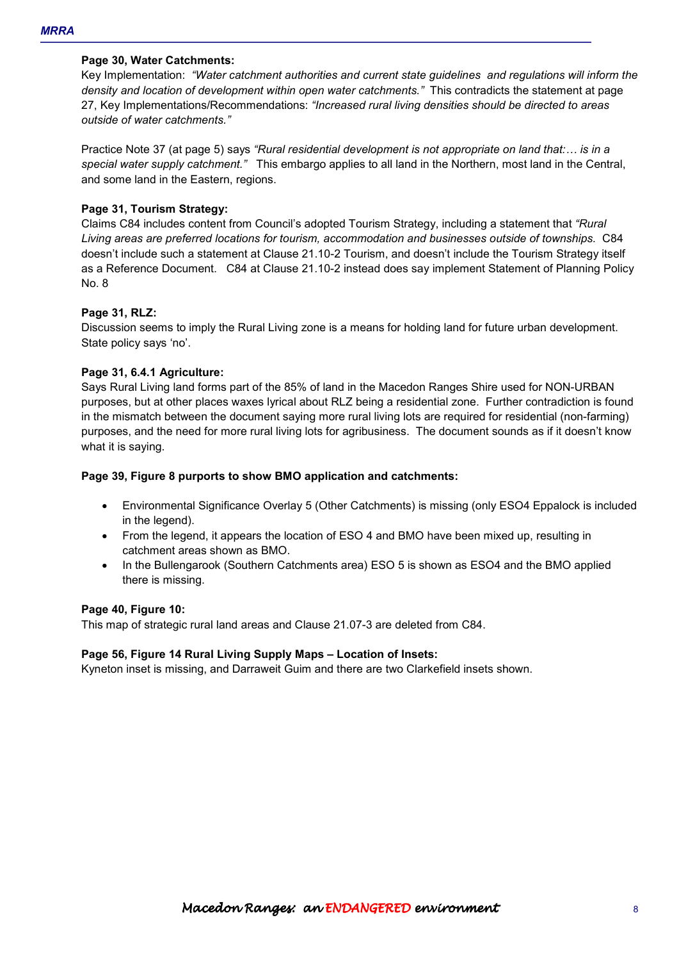## **Page 30, Water Catchments:**

Key Implementation: *"Water catchment authorities and current state guidelines and regulations will inform the density and location of development within open water catchments."* This contradicts the statement at page 27, Key Implementations/Recommendations: *"Increased rural living densities should be directed to areas outside of water catchments."*

Practice Note 37 (at page 5) says *"Rural residential development is not appropriate on land that:... is in a special water supply catchment."* This embargo applies to all land in the Northern, most land in the Central, and some land in the Eastern, regions.

## **Page 31, Tourism Strategy:**

Claims C84 includes content from Council's adopted Tourism Strategy, including a statement that *"Rural Living areas are preferred locations for tourism, accommodation and businesses outside of townships.* C84 doesn't include such a statement at Clause 21.10-2 Tourism, and doesn't include the Tourism Strategy itself as a Reference Document. C84 at Clause 21.10-2 instead does say implement Statement of Planning Policy No. 8

#### **Page 31, RLZ:**

Discussion seems to imply the Rural Living zone is a means for holding land for future urban development. State policy says 'no'.

## **Page 31, 6.4.1 Agriculture:**

Says Rural Living land forms part of the 85% of land in the Macedon Ranges Shire used for NON-URBAN purposes, but at other places waxes lyrical about RLZ being a residential zone. Further contradiction is found in the mismatch between the document saying more rural living lots are required for residential (non-farming) purposes, and the need for more rural living lots for agribusiness. The document sounds as if it doesn't know what it is saying.

## **Page 39, Figure 8 purports to show BMO application and catchments:**

- Environmental Significance Overlay 5 (Other Catchments) is missing (only ESO4 Eppalock is included in the legend).
- From the legend, it appears the location of ESO 4 and BMO have been mixed up, resulting in catchment areas shown as BMO.
- In the Bullengarook (Southern Catchments area) ESO 5 is shown as ESO4 and the BMO applied there is missing.

#### **Page 40, Figure 10:**

This map of strategic rural land areas and Clause 21.07-3 are deleted from C84.

#### **Page 56, Figure 14 Rural Living Supply Maps – Location of Insets:**

Kyneton inset is missing, and Darraweit Guim and there are two Clarkefield insets shown.